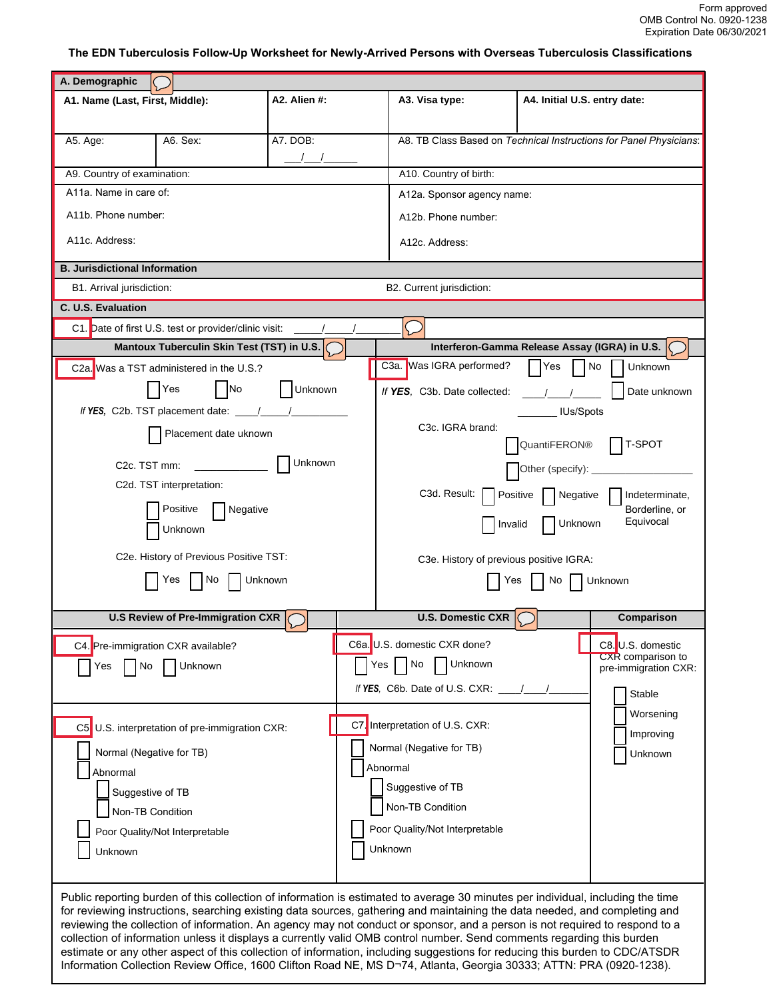## **The EDN Tuberculosis Follow-Up Worksheet for Newly-Arrived Persons with Overseas Tuberculosis Classifications**

| A. Demographic                       |                                                       |              |                                               |                                                                                                                                                                                                                                                           |                              |                                              |
|--------------------------------------|-------------------------------------------------------|--------------|-----------------------------------------------|-----------------------------------------------------------------------------------------------------------------------------------------------------------------------------------------------------------------------------------------------------------|------------------------------|----------------------------------------------|
| A1. Name (Last, First, Middle):      |                                                       | A2. Alien #: |                                               | A3. Visa type:                                                                                                                                                                                                                                            | A4. Initial U.S. entry date: |                                              |
|                                      |                                                       |              |                                               |                                                                                                                                                                                                                                                           |                              |                                              |
| A5. Age:                             | A6. Sex:                                              | A7. DOB:     |                                               | A8. TB Class Based on Technical Instructions for Panel Physicians:                                                                                                                                                                                        |                              |                                              |
|                                      |                                                       |              |                                               |                                                                                                                                                                                                                                                           |                              |                                              |
| A9. Country of examination:          |                                                       |              | A10. Country of birth:                        |                                                                                                                                                                                                                                                           |                              |                                              |
| A11a. Name in care of:               |                                                       |              |                                               | A12a. Sponsor agency name:                                                                                                                                                                                                                                |                              |                                              |
| A11b. Phone number:                  |                                                       |              |                                               | A12b. Phone number:                                                                                                                                                                                                                                       |                              |                                              |
| A11c. Address:                       |                                                       |              |                                               | A12c. Address:                                                                                                                                                                                                                                            |                              |                                              |
|                                      |                                                       |              |                                               |                                                                                                                                                                                                                                                           |                              |                                              |
| <b>B. Jurisdictional Information</b> |                                                       |              |                                               |                                                                                                                                                                                                                                                           |                              |                                              |
| B1. Arrival jurisdiction:            |                                                       |              |                                               | B2. Current jurisdiction:                                                                                                                                                                                                                                 |                              |                                              |
| C. U.S. Evaluation                   |                                                       |              |                                               |                                                                                                                                                                                                                                                           |                              |                                              |
|                                      | C1. Date of first U.S. test or provider/clinic visit: |              |                                               |                                                                                                                                                                                                                                                           |                              |                                              |
|                                      | Mantoux Tuberculin Skin Test (TST) in U.S.            |              | Interferon-Gamma Release Assay (IGRA) in U.S. |                                                                                                                                                                                                                                                           |                              |                                              |
|                                      | C2a. Was a TST administered in the U.S.?              |              |                                               | C3a. Was IGRA performed?                                                                                                                                                                                                                                  | Yes                          | No<br><b>Unknown</b>                         |
|                                      | <b>No</b><br>Yes                                      | Unknown      |                                               | If YES. C3b. Date collected:                                                                                                                                                                                                                              |                              | Date unknown                                 |
|                                      | If YES, C2b. TST placement date: $\frac{1}{1}$        |              |                                               |                                                                                                                                                                                                                                                           | IUs/Spots                    |                                              |
|                                      | Placement date uknown                                 |              |                                               | C <sub>3</sub> c. IGRA brand:                                                                                                                                                                                                                             |                              |                                              |
|                                      |                                                       |              |                                               |                                                                                                                                                                                                                                                           | QuantiFERON®                 | T-SPOT                                       |
| C <sub>2</sub> c. TST mm:            |                                                       | Unknown      |                                               |                                                                                                                                                                                                                                                           | Other (specify):             |                                              |
|                                      | C <sub>2</sub> d. TST interpretation:                 |              |                                               | C3d. Result:                                                                                                                                                                                                                                              | Positive<br>Negative         | Indeterminate,                               |
|                                      | Positive<br>Negative                                  |              |                                               |                                                                                                                                                                                                                                                           |                              | Borderline, or                               |
|                                      | Unknown                                               |              |                                               | Invalid                                                                                                                                                                                                                                                   | Unknown                      | Equivocal                                    |
|                                      | C2e. History of Previous Positive TST:                |              |                                               |                                                                                                                                                                                                                                                           |                              |                                              |
|                                      |                                                       |              |                                               | C3e. History of previous positive IGRA:                                                                                                                                                                                                                   |                              |                                              |
|                                      | Yes<br>No.                                            | Unknown      |                                               | Yes                                                                                                                                                                                                                                                       | No.                          | Unknown                                      |
|                                      | <b>U.S Review of Pre-Immigration CXR</b>              |              |                                               | <b>U.S. Domestic CXR</b>                                                                                                                                                                                                                                  |                              | Comparison                                   |
|                                      |                                                       |              |                                               |                                                                                                                                                                                                                                                           |                              |                                              |
|                                      | C4. Pre-immigration CXR available?                    |              |                                               | C6a. U.S. domestic CXR done?                                                                                                                                                                                                                              |                              | C8.U.S. domestic<br><b>CXR</b> comparison to |
| Yes<br>No                            | Unknown                                               |              |                                               | Yes   No<br><b>Unknown</b>                                                                                                                                                                                                                                |                              | pre-immigration CXR:                         |
|                                      |                                                       |              |                                               | If YES, C6b. Date of U.S. CXR: $\frac{1}{2}$                                                                                                                                                                                                              |                              | Stable                                       |
|                                      |                                                       |              |                                               |                                                                                                                                                                                                                                                           |                              | Worsening                                    |
|                                      | C5 U.S. interpretation of pre-immigration CXR:        |              |                                               | C7. Interpretation of U.S. CXR:                                                                                                                                                                                                                           |                              | Improving                                    |
|                                      | Normal (Negative for TB)                              |              |                                               | Normal (Negative for TB)                                                                                                                                                                                                                                  |                              | Unknown                                      |
| Abnormal                             |                                                       |              |                                               | Abnormal                                                                                                                                                                                                                                                  |                              |                                              |
|                                      | Suggestive of TB                                      |              |                                               | Suggestive of TB                                                                                                                                                                                                                                          |                              |                                              |
|                                      | Non-TB Condition                                      |              |                                               | Non-TB Condition                                                                                                                                                                                                                                          |                              |                                              |
|                                      | Poor Quality/Not Interpretable                        |              |                                               | Poor Quality/Not Interpretable                                                                                                                                                                                                                            |                              |                                              |
| Unknown                              |                                                       |              |                                               | Unknown                                                                                                                                                                                                                                                   |                              |                                              |
|                                      |                                                       |              |                                               |                                                                                                                                                                                                                                                           |                              |                                              |
|                                      |                                                       |              |                                               |                                                                                                                                                                                                                                                           |                              |                                              |
|                                      |                                                       |              |                                               | Public reporting burden of this collection of information is estimated to average 30 minutes per individual, including the time                                                                                                                           |                              |                                              |
|                                      |                                                       |              |                                               | for reviewing instructions, searching existing data sources, gathering and maintaining the data needed, and completing and<br>reviewing the collection of information. An agency may not conduct or sponsor, and a person is not required to respond to a |                              |                                              |
|                                      |                                                       |              |                                               | collection of information unless it displays a currently valid OMB control number. Send comments regarding this burden                                                                                                                                    |                              |                                              |
|                                      |                                                       |              |                                               | estimate or any other aspect of this collection of information, including suggestions for reducing this burden to CDC/ATSDR<br>Information Collection Review Office, 1600 Clifton Road NE, MS D-74, Atlanta, Georgia 30333; ATTN: PRA (0920-1238).        |                              |                                              |
|                                      |                                                       |              |                                               |                                                                                                                                                                                                                                                           |                              |                                              |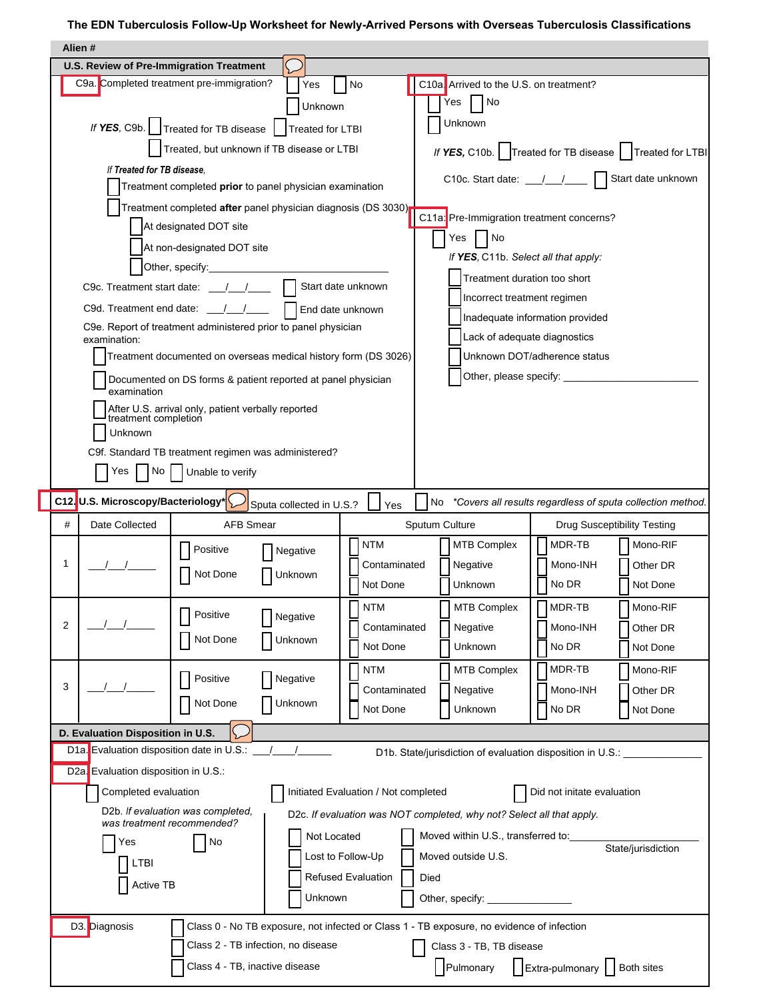## **The EDN Tuberculosis Follow-Up Worksheet for Newly-Arrived Persons with Overseas Tuberculosis Classifications**

|                                                                                   | Alien #                                                                                                                                                                                                                        |                                                                            |                                                                                                                                                                                                                                     |                                      |                             |                                                                                           |                                                            |  |  |
|-----------------------------------------------------------------------------------|--------------------------------------------------------------------------------------------------------------------------------------------------------------------------------------------------------------------------------|----------------------------------------------------------------------------|-------------------------------------------------------------------------------------------------------------------------------------------------------------------------------------------------------------------------------------|--------------------------------------|-----------------------------|-------------------------------------------------------------------------------------------|------------------------------------------------------------|--|--|
|                                                                                   | U.S. Review of Pre-Immigration Treatment                                                                                                                                                                                       |                                                                            |                                                                                                                                                                                                                                     |                                      |                             |                                                                                           |                                                            |  |  |
|                                                                                   | C9a. Completed treatment pre-immigration?                                                                                                                                                                                      |                                                                            | Yes                                                                                                                                                                                                                                 | No                                   |                             | C10a. Arrived to the U.S. on treatment?                                                   |                                                            |  |  |
|                                                                                   |                                                                                                                                                                                                                                |                                                                            | Unknown                                                                                                                                                                                                                             |                                      | No<br>Yes                   |                                                                                           |                                                            |  |  |
|                                                                                   |                                                                                                                                                                                                                                |                                                                            | If YES, C9b.     Treated for TB disease     Treated for LTBI                                                                                                                                                                        |                                      | Unknown                     |                                                                                           |                                                            |  |  |
|                                                                                   |                                                                                                                                                                                                                                |                                                                            | Treated, but unknown if TB disease or LTBI                                                                                                                                                                                          |                                      |                             |                                                                                           | If YES, C10b.   Treated for TB disease   Treated for LTBI  |  |  |
|                                                                                   | If Treated for TB disease.                                                                                                                                                                                                     |                                                                            |                                                                                                                                                                                                                                     |                                      |                             |                                                                                           |                                                            |  |  |
|                                                                                   |                                                                                                                                                                                                                                |                                                                            | Treatment completed prior to panel physician examination                                                                                                                                                                            |                                      |                             |                                                                                           | C10c. Start date: \[mathbb{sart date unknown               |  |  |
|                                                                                   |                                                                                                                                                                                                                                |                                                                            | Treatment completed after panel physician diagnosis (DS 3030)                                                                                                                                                                       |                                      |                             |                                                                                           |                                                            |  |  |
|                                                                                   |                                                                                                                                                                                                                                | At designated DOT site                                                     |                                                                                                                                                                                                                                     |                                      |                             | C11a: Pre-Immigration treatment concerns?                                                 |                                                            |  |  |
|                                                                                   |                                                                                                                                                                                                                                | At non-designated DOT site                                                 |                                                                                                                                                                                                                                     |                                      | Yes                         | No                                                                                        |                                                            |  |  |
|                                                                                   |                                                                                                                                                                                                                                |                                                                            | Other, specify: <u>contained</u> and the contact of the contact of the contact of the contact of the contact of the contact of the contact of the contact of the contact of the contact of the contact of the contact of the contac |                                      |                             | If YES, C11b. Select all that apply:                                                      |                                                            |  |  |
| C9c. Treatment start date: $\frac{1}{\sqrt{1-\frac{1}{2}}}$<br>Start date unknown |                                                                                                                                                                                                                                |                                                                            |                                                                                                                                                                                                                                     |                                      |                             | Treatment duration too short                                                              |                                                            |  |  |
| C9d. Treatment end date: __/__/___<br>End date unknown                            |                                                                                                                                                                                                                                |                                                                            |                                                                                                                                                                                                                                     |                                      | Incorrect treatment regimen |                                                                                           |                                                            |  |  |
| C9e. Report of treatment administered prior to panel physician                    |                                                                                                                                                                                                                                |                                                                            |                                                                                                                                                                                                                                     | Inadequate information provided      |                             |                                                                                           |                                                            |  |  |
|                                                                                   | examination:                                                                                                                                                                                                                   |                                                                            |                                                                                                                                                                                                                                     |                                      |                             | Lack of adequate diagnostics                                                              |                                                            |  |  |
|                                                                                   |                                                                                                                                                                                                                                |                                                                            | Treatment documented on overseas medical history form (DS 3026)                                                                                                                                                                     |                                      |                             | Unknown DOT/adherence status                                                              |                                                            |  |  |
|                                                                                   | examination                                                                                                                                                                                                                    |                                                                            | Documented on DS forms & patient reported at panel physician                                                                                                                                                                        |                                      |                             | Other, please specify: ____________                                                       |                                                            |  |  |
|                                                                                   |                                                                                                                                                                                                                                | After U.S. arrival only, patient verbally reported<br>treatment completion |                                                                                                                                                                                                                                     |                                      |                             |                                                                                           |                                                            |  |  |
|                                                                                   | Unknown                                                                                                                                                                                                                        |                                                                            |                                                                                                                                                                                                                                     |                                      |                             |                                                                                           |                                                            |  |  |
|                                                                                   |                                                                                                                                                                                                                                |                                                                            | C9f. Standard TB treatment regimen was administered?                                                                                                                                                                                |                                      |                             |                                                                                           |                                                            |  |  |
|                                                                                   | No<br>Yes                                                                                                                                                                                                                      | Unable to verify                                                           |                                                                                                                                                                                                                                     |                                      |                             |                                                                                           |                                                            |  |  |
|                                                                                   |                                                                                                                                                                                                                                |                                                                            |                                                                                                                                                                                                                                     |                                      |                             |                                                                                           |                                                            |  |  |
|                                                                                   | C12. U.S. Microscopy/Bacteriology*                                                                                                                                                                                             |                                                                            | Sputa collected in U.S.?                                                                                                                                                                                                            | Yes                                  | No                          |                                                                                           | *Covers all results regardless of sputa collection method. |  |  |
| #                                                                                 | Date Collected                                                                                                                                                                                                                 | <b>AFB Smear</b>                                                           |                                                                                                                                                                                                                                     |                                      | Sputum Culture              |                                                                                           | <b>Drug Susceptibility Testing</b>                         |  |  |
|                                                                                   |                                                                                                                                                                                                                                | Positive                                                                   | Negative                                                                                                                                                                                                                            | <b>NTM</b>                           | <b>MTB Complex</b>          | MDR-TB                                                                                    | Mono-RIF                                                   |  |  |
| 1                                                                                 |                                                                                                                                                                                                                                | Not Done                                                                   | Unknown                                                                                                                                                                                                                             | Contaminated                         | Negative                    | Mono-INH                                                                                  | Other DR                                                   |  |  |
|                                                                                   |                                                                                                                                                                                                                                |                                                                            |                                                                                                                                                                                                                                     | Not Done                             | Unknown                     | No DR                                                                                     | Not Done                                                   |  |  |
|                                                                                   |                                                                                                                                                                                                                                | Positive                                                                   | Negative                                                                                                                                                                                                                            | NTM                                  | <b>MTB Complex</b>          | MDR-TB                                                                                    | Mono-RIF                                                   |  |  |
| 2                                                                                 |                                                                                                                                                                                                                                | Not Done                                                                   | Unknown                                                                                                                                                                                                                             | Contaminated                         | Negative                    | Mono-INH                                                                                  | Other DR                                                   |  |  |
|                                                                                   |                                                                                                                                                                                                                                |                                                                            |                                                                                                                                                                                                                                     | Not Done                             | Unknown                     | No DR                                                                                     | Not Done                                                   |  |  |
|                                                                                   |                                                                                                                                                                                                                                | Positive                                                                   | Negative                                                                                                                                                                                                                            | <b>NTM</b>                           | <b>MTB Complex</b>          | MDR-TB                                                                                    | Mono-RIF                                                   |  |  |
| 3                                                                                 |                                                                                                                                                                                                                                | Not Done                                                                   | Unknown                                                                                                                                                                                                                             | Contaminated                         | Negative                    | Mono-INH                                                                                  | Other DR                                                   |  |  |
|                                                                                   |                                                                                                                                                                                                                                |                                                                            |                                                                                                                                                                                                                                     | Not Done                             | Unknown                     | No DR                                                                                     | Not Done                                                   |  |  |
|                                                                                   | D. Evaluation Disposition in U.S.                                                                                                                                                                                              |                                                                            |                                                                                                                                                                                                                                     |                                      |                             |                                                                                           |                                                            |  |  |
|                                                                                   | D1a. Evaluation disposition date in U.S.: \[\squire{\infty_{\rigma_{\rigma_{\rigma_{\rigma_{\rigma_{\rigma_{\rigma_{\rigma_{\rigma_{\rigma_{\rigma_{\rigma_{\rigma_{\rigma_{\rigma_{\rigma_{\rigma_{\rigma_{\rigma_{\rigma_{\r |                                                                            |                                                                                                                                                                                                                                     |                                      |                             | D1b. State/jurisdiction of evaluation disposition in U.S.:                                |                                                            |  |  |
|                                                                                   | D2a. Evaluation disposition in U.S.:                                                                                                                                                                                           |                                                                            |                                                                                                                                                                                                                                     |                                      |                             |                                                                                           |                                                            |  |  |
|                                                                                   | Completed evaluation                                                                                                                                                                                                           |                                                                            |                                                                                                                                                                                                                                     | Initiated Evaluation / Not completed |                             | Did not initate evaluation                                                                |                                                            |  |  |
|                                                                                   | was treatment recommended?                                                                                                                                                                                                     | D <sub>2</sub> b. If evaluation was completed,                             |                                                                                                                                                                                                                                     |                                      |                             | D2c. If evaluation was NOT completed, why not? Select all that apply.                     |                                                            |  |  |
|                                                                                   | Yes                                                                                                                                                                                                                            | $\overline{\phantom{a}}$ No                                                | Not Located                                                                                                                                                                                                                         |                                      |                             | Moved within U.S., transferred to:                                                        | State/jurisdiction                                         |  |  |
|                                                                                   | LTBI                                                                                                                                                                                                                           |                                                                            |                                                                                                                                                                                                                                     | Lost to Follow-Up                    | Moved outside U.S.          |                                                                                           |                                                            |  |  |
|                                                                                   | Active TB                                                                                                                                                                                                                      |                                                                            |                                                                                                                                                                                                                                     | <b>Refused Evaluation</b>            | Died                        |                                                                                           |                                                            |  |  |
|                                                                                   |                                                                                                                                                                                                                                |                                                                            | Unknown                                                                                                                                                                                                                             |                                      |                             |                                                                                           |                                                            |  |  |
|                                                                                   | D3. Diagnosis                                                                                                                                                                                                                  |                                                                            |                                                                                                                                                                                                                                     |                                      |                             | Class 0 - No TB exposure, not infected or Class 1 - TB exposure, no evidence of infection |                                                            |  |  |
|                                                                                   |                                                                                                                                                                                                                                |                                                                            | Class 2 - TB infection, no disease                                                                                                                                                                                                  |                                      |                             | Class 3 - TB, TB disease                                                                  |                                                            |  |  |
|                                                                                   |                                                                                                                                                                                                                                |                                                                            | Class 4 - TB, inactive disease                                                                                                                                                                                                      |                                      |                             | Pulmonary   Extra-pulmonary   Both sites                                                  |                                                            |  |  |
|                                                                                   |                                                                                                                                                                                                                                |                                                                            |                                                                                                                                                                                                                                     |                                      |                             |                                                                                           |                                                            |  |  |